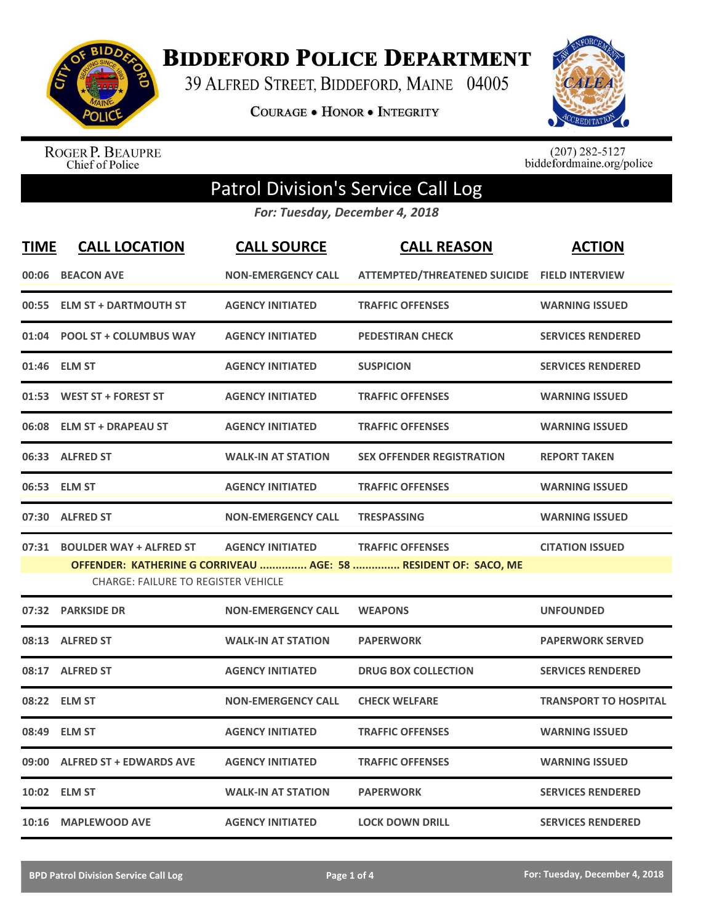

**BIDDEFORD POLICE DEPARTMENT** 

39 ALFRED STREET, BIDDEFORD, MAINE 04005

**COURAGE . HONOR . INTEGRITY** 



ROGER P. BEAUPRE<br>Chief of Police

 $(207)$  282-5127<br>biddefordmaine.org/police

## Patrol Division's Service Call Log

*For: Tuesday, December 4, 2018*

| <b>TIME</b> | <b>CALL LOCATION</b>                                                        | <b>CALL SOURCE</b>        | <b>CALL REASON</b>                                                                         | <b>ACTION</b>                |
|-------------|-----------------------------------------------------------------------------|---------------------------|--------------------------------------------------------------------------------------------|------------------------------|
|             | 00:06 BEACON AVE                                                            | <b>NON-EMERGENCY CALL</b> | ATTEMPTED/THREATENED SUICIDE FIELD INTERVIEW                                               |                              |
|             | 00:55 ELM ST + DARTMOUTH ST                                                 | <b>AGENCY INITIATED</b>   | <b>TRAFFIC OFFENSES</b>                                                                    | <b>WARNING ISSUED</b>        |
|             | 01:04 POOL ST + COLUMBUS WAY                                                | <b>AGENCY INITIATED</b>   | <b>PEDESTIRAN CHECK</b>                                                                    | <b>SERVICES RENDERED</b>     |
|             | 01:46 ELM ST                                                                | <b>AGENCY INITIATED</b>   | <b>SUSPICION</b>                                                                           | <b>SERVICES RENDERED</b>     |
|             | 01:53 WEST ST + FOREST ST                                                   | <b>AGENCY INITIATED</b>   | <b>TRAFFIC OFFENSES</b>                                                                    | <b>WARNING ISSUED</b>        |
|             | 06:08 ELM ST + DRAPEAU ST                                                   | <b>AGENCY INITIATED</b>   | <b>TRAFFIC OFFENSES</b>                                                                    | <b>WARNING ISSUED</b>        |
|             | 06:33 ALFRED ST                                                             | <b>WALK-IN AT STATION</b> | <b>SEX OFFENDER REGISTRATION</b>                                                           | <b>REPORT TAKEN</b>          |
|             | 06:53 ELM ST                                                                | <b>AGENCY INITIATED</b>   | <b>TRAFFIC OFFENSES</b>                                                                    | <b>WARNING ISSUED</b>        |
|             | 07:30 ALFRED ST                                                             | <b>NON-EMERGENCY CALL</b> | <b>TRESPASSING</b>                                                                         | <b>WARNING ISSUED</b>        |
|             | 07:31 BOULDER WAY + ALFRED ST<br><b>CHARGE: FAILURE TO REGISTER VEHICLE</b> | <b>AGENCY INITIATED</b>   | <b>TRAFFIC OFFENSES</b><br>OFFENDER: KATHERINE G CORRIVEAU  AGE: 58  RESIDENT OF: SACO, ME | <b>CITATION ISSUED</b>       |
|             | 07:32 PARKSIDE DR                                                           | <b>NON-EMERGENCY CALL</b> | <b>WEAPONS</b>                                                                             | <b>UNFOUNDED</b>             |
|             | 08:13 ALFRED ST                                                             | <b>WALK-IN AT STATION</b> | <b>PAPERWORK</b>                                                                           | <b>PAPERWORK SERVED</b>      |
|             | 08:17 ALFRED ST                                                             | <b>AGENCY INITIATED</b>   | <b>DRUG BOX COLLECTION</b>                                                                 | <b>SERVICES RENDERED</b>     |
|             | 08:22 ELM ST                                                                | <b>NON-EMERGENCY CALL</b> | <b>CHECK WELFARE</b>                                                                       | <b>TRANSPORT TO HOSPITAL</b> |
| 08:49       | <b>ELM ST</b>                                                               | <b>AGENCY INITIATED</b>   | <b>TRAFFIC OFFENSES</b>                                                                    | <b>WARNING ISSUED</b>        |
|             | 09:00 ALFRED ST + EDWARDS AVE                                               | <b>AGENCY INITIATED</b>   | <b>TRAFFIC OFFENSES</b>                                                                    | <b>WARNING ISSUED</b>        |
|             | 10:02 ELM ST                                                                | <b>WALK-IN AT STATION</b> | <b>PAPERWORK</b>                                                                           | <b>SERVICES RENDERED</b>     |
|             | 10:16 MAPLEWOOD AVE                                                         | <b>AGENCY INITIATED</b>   | <b>LOCK DOWN DRILL</b>                                                                     | <b>SERVICES RENDERED</b>     |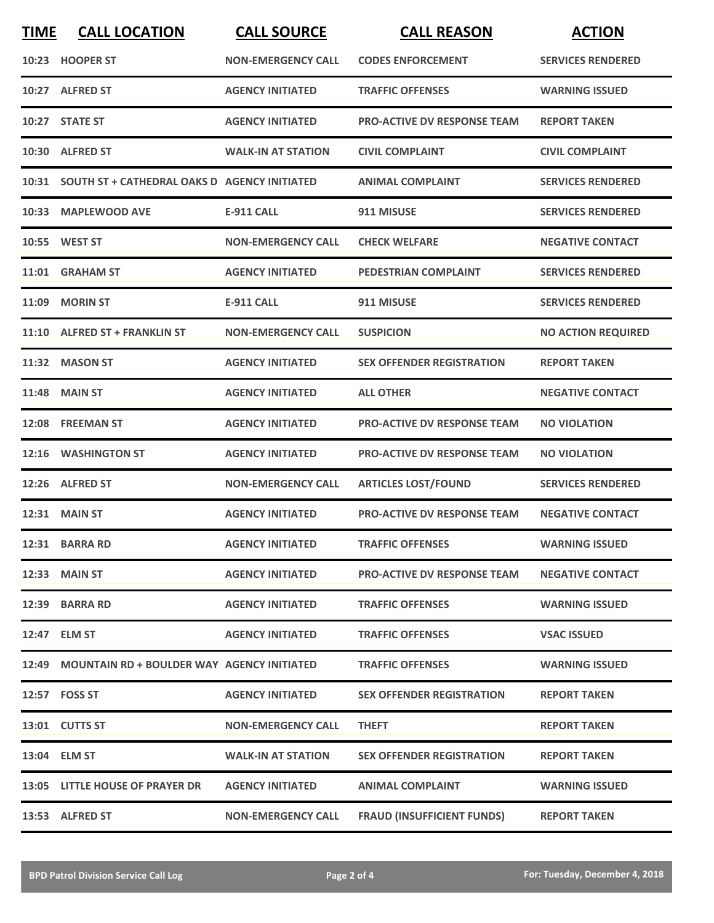| <b>TIME</b> | <b>CALL LOCATION</b>                               | <b>CALL SOURCE</b>        | <b>CALL REASON</b>                 | <b>ACTION</b>             |
|-------------|----------------------------------------------------|---------------------------|------------------------------------|---------------------------|
|             | 10:23 HOOPER ST                                    | <b>NON-EMERGENCY CALL</b> | <b>CODES ENFORCEMENT</b>           | <b>SERVICES RENDERED</b>  |
|             | 10:27 ALFRED ST                                    | <b>AGENCY INITIATED</b>   | <b>TRAFFIC OFFENSES</b>            | <b>WARNING ISSUED</b>     |
|             | 10:27 STATE ST                                     | <b>AGENCY INITIATED</b>   | <b>PRO-ACTIVE DV RESPONSE TEAM</b> | <b>REPORT TAKEN</b>       |
|             | 10:30 ALFRED ST                                    | <b>WALK-IN AT STATION</b> | <b>CIVIL COMPLAINT</b>             | <b>CIVIL COMPLAINT</b>    |
|             | 10:31 SOUTH ST + CATHEDRAL OAKS D AGENCY INITIATED |                           | <b>ANIMAL COMPLAINT</b>            | <b>SERVICES RENDERED</b>  |
| 10:33       | <b>MAPLEWOOD AVE</b>                               | <b>E-911 CALL</b>         | 911 MISUSE                         | <b>SERVICES RENDERED</b>  |
|             | 10:55 WEST ST                                      | <b>NON-EMERGENCY CALL</b> | <b>CHECK WELFARE</b>               | <b>NEGATIVE CONTACT</b>   |
|             | 11:01 GRAHAM ST                                    | <b>AGENCY INITIATED</b>   | <b>PEDESTRIAN COMPLAINT</b>        | <b>SERVICES RENDERED</b>  |
| 11:09       | <b>MORIN ST</b>                                    | <b>E-911 CALL</b>         | 911 MISUSE                         | <b>SERVICES RENDERED</b>  |
|             | 11:10 ALFRED ST + FRANKLIN ST                      | <b>NON-EMERGENCY CALL</b> | <b>SUSPICION</b>                   | <b>NO ACTION REQUIRED</b> |
|             | 11:32 MASON ST                                     | <b>AGENCY INITIATED</b>   | <b>SEX OFFENDER REGISTRATION</b>   | <b>REPORT TAKEN</b>       |
| 11:48       | <b>MAIN ST</b>                                     | <b>AGENCY INITIATED</b>   | <b>ALL OTHER</b>                   | <b>NEGATIVE CONTACT</b>   |
| 12:08       | <b>FREEMAN ST</b>                                  | <b>AGENCY INITIATED</b>   | <b>PRO-ACTIVE DV RESPONSE TEAM</b> | <b>NO VIOLATION</b>       |
| 12:16       | <b>WASHINGTON ST</b>                               | <b>AGENCY INITIATED</b>   | <b>PRO-ACTIVE DV RESPONSE TEAM</b> | <b>NO VIOLATION</b>       |
| 12:26       | <b>ALFRED ST</b>                                   | <b>NON-EMERGENCY CALL</b> | <b>ARTICLES LOST/FOUND</b>         | <b>SERVICES RENDERED</b>  |
|             | <b>12:31 MAIN ST</b>                               | <b>AGENCY INITIATED</b>   | <b>PRO-ACTIVE DV RESPONSE TEAM</b> | <b>NEGATIVE CONTACT</b>   |
|             | 12:31 BARRA RD                                     | <b>AGENCY INITIATED</b>   | <b>TRAFFIC OFFENSES</b>            | <b>WARNING ISSUED</b>     |
|             | 12:33 MAIN ST                                      | <b>AGENCY INITIATED</b>   | <b>PRO-ACTIVE DV RESPONSE TEAM</b> | <b>NEGATIVE CONTACT</b>   |
|             | 12:39 BARRA RD                                     | <b>AGENCY INITIATED</b>   | <b>TRAFFIC OFFENSES</b>            | <b>WARNING ISSUED</b>     |
|             | 12:47 ELM ST                                       | <b>AGENCY INITIATED</b>   | <b>TRAFFIC OFFENSES</b>            | <b>VSAC ISSUED</b>        |
|             | 12:49 MOUNTAIN RD + BOULDER WAY AGENCY INITIATED   |                           | <b>TRAFFIC OFFENSES</b>            | <b>WARNING ISSUED</b>     |
|             | 12:57 FOSS ST                                      | <b>AGENCY INITIATED</b>   | <b>SEX OFFENDER REGISTRATION</b>   | <b>REPORT TAKEN</b>       |
|             | 13:01 CUTTS ST                                     | <b>NON-EMERGENCY CALL</b> | <b>THEFT</b>                       | <b>REPORT TAKEN</b>       |
|             | 13:04 ELM ST                                       | <b>WALK-IN AT STATION</b> | <b>SEX OFFENDER REGISTRATION</b>   | <b>REPORT TAKEN</b>       |
|             | 13:05 LITTLE HOUSE OF PRAYER DR                    | <b>AGENCY INITIATED</b>   | <b>ANIMAL COMPLAINT</b>            | <b>WARNING ISSUED</b>     |
|             | 13:53 ALFRED ST                                    | <b>NON-EMERGENCY CALL</b> | <b>FRAUD (INSUFFICIENT FUNDS)</b>  | <b>REPORT TAKEN</b>       |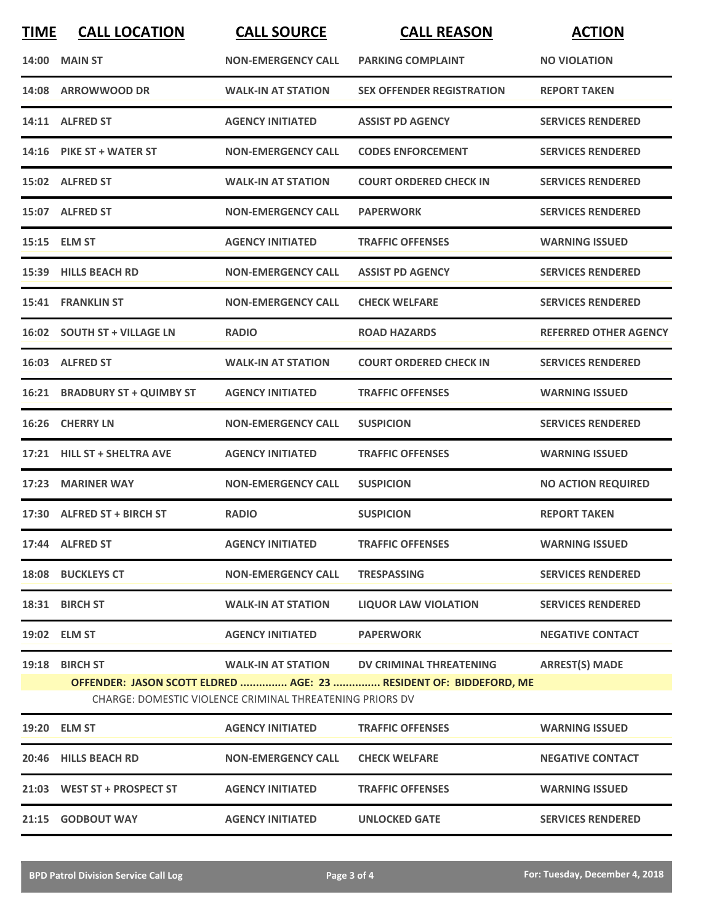| <b>TIME</b> | <b>CALL LOCATION</b>          | <b>CALL SOURCE</b>                                       | <b>CALL REASON</b>                                                | <b>ACTION</b>                |
|-------------|-------------------------------|----------------------------------------------------------|-------------------------------------------------------------------|------------------------------|
| 14:00       | <b>MAIN ST</b>                | <b>NON-EMERGENCY CALL</b>                                | <b>PARKING COMPLAINT</b>                                          | <b>NO VIOLATION</b>          |
|             | 14:08 ARROWWOOD DR            | <b>WALK-IN AT STATION</b>                                | <b>SEX OFFENDER REGISTRATION</b>                                  | <b>REPORT TAKEN</b>          |
|             | 14:11 ALFRED ST               | <b>AGENCY INITIATED</b>                                  | <b>ASSIST PD AGENCY</b>                                           | <b>SERVICES RENDERED</b>     |
|             | 14:16 PIKE ST + WATER ST      | <b>NON-EMERGENCY CALL</b>                                | <b>CODES ENFORCEMENT</b>                                          | <b>SERVICES RENDERED</b>     |
|             | 15:02 ALFRED ST               | <b>WALK-IN AT STATION</b>                                | <b>COURT ORDERED CHECK IN</b>                                     | <b>SERVICES RENDERED</b>     |
|             | 15:07 ALFRED ST               | <b>NON-EMERGENCY CALL</b>                                | <b>PAPERWORK</b>                                                  | <b>SERVICES RENDERED</b>     |
|             | 15:15 ELM ST                  | <b>AGENCY INITIATED</b>                                  | <b>TRAFFIC OFFENSES</b>                                           | <b>WARNING ISSUED</b>        |
|             | 15:39 HILLS BEACH RD          | <b>NON-EMERGENCY CALL</b>                                | <b>ASSIST PD AGENCY</b>                                           | <b>SERVICES RENDERED</b>     |
|             | 15:41 FRANKLIN ST             | <b>NON-EMERGENCY CALL</b>                                | <b>CHECK WELFARE</b>                                              | <b>SERVICES RENDERED</b>     |
|             | 16:02 SOUTH ST + VILLAGE LN   | <b>RADIO</b>                                             | <b>ROAD HAZARDS</b>                                               | <b>REFERRED OTHER AGENCY</b> |
|             | 16:03 ALFRED ST               | <b>WALK-IN AT STATION</b>                                | <b>COURT ORDERED CHECK IN</b>                                     | <b>SERVICES RENDERED</b>     |
|             | 16:21 BRADBURY ST + QUIMBY ST | <b>AGENCY INITIATED</b>                                  | <b>TRAFFIC OFFENSES</b>                                           | <b>WARNING ISSUED</b>        |
| 16:26       | <b>CHERRY LN</b>              | <b>NON-EMERGENCY CALL</b>                                | <b>SUSPICION</b>                                                  | <b>SERVICES RENDERED</b>     |
| 17:21       | <b>HILL ST + SHELTRA AVE</b>  | <b>AGENCY INITIATED</b>                                  | <b>TRAFFIC OFFENSES</b>                                           | <b>WARNING ISSUED</b>        |
| 17:23       | <b>MARINER WAY</b>            | <b>NON-EMERGENCY CALL</b>                                | <b>SUSPICION</b>                                                  | <b>NO ACTION REQUIRED</b>    |
|             | 17:30 ALFRED ST + BIRCH ST    | <b>RADIO</b>                                             | <b>SUSPICION</b>                                                  | <b>REPORT TAKEN</b>          |
|             | 17:44 ALFRED ST               | <b>AGENCY INITIATED</b>                                  | <b>TRAFFIC OFFENSES</b>                                           | <b>WARNING ISSUED</b>        |
|             | 18:08 BUCKLEYS CT             | <b>NON-EMERGENCY CALL</b>                                | <b>TRESPASSING</b>                                                | <b>SERVICES RENDERED</b>     |
|             | 18:31 BIRCH ST                | <b>WALK-IN AT STATION</b>                                | <b>LIQUOR LAW VIOLATION</b>                                       | <b>SERVICES RENDERED</b>     |
|             | 19:02 ELM ST                  | <b>AGENCY INITIATED</b>                                  | <b>PAPERWORK</b>                                                  | <b>NEGATIVE CONTACT</b>      |
|             | 19:18 BIRCH ST                | <b>WALK-IN AT STATION</b>                                | DV CRIMINAL THREATENING                                           | <b>ARREST(S) MADE</b>        |
|             |                               | CHARGE: DOMESTIC VIOLENCE CRIMINAL THREATENING PRIORS DV | OFFENDER: JASON SCOTT ELDRED  AGE: 23  RESIDENT OF: BIDDEFORD, ME |                              |
| 19:20       | <b>ELM ST</b>                 | <b>AGENCY INITIATED</b>                                  | <b>TRAFFIC OFFENSES</b>                                           | <b>WARNING ISSUED</b>        |
|             | 20:46 HILLS BEACH RD          | <b>NON-EMERGENCY CALL</b>                                | <b>CHECK WELFARE</b>                                              | <b>NEGATIVE CONTACT</b>      |
|             | 21:03 WEST ST + PROSPECT ST   | <b>AGENCY INITIATED</b>                                  | <b>TRAFFIC OFFENSES</b>                                           | <b>WARNING ISSUED</b>        |

**21:15 GODBOUT WAY AGENCY INITIATED UNLOCKED GATE SERVICES RENDERED**